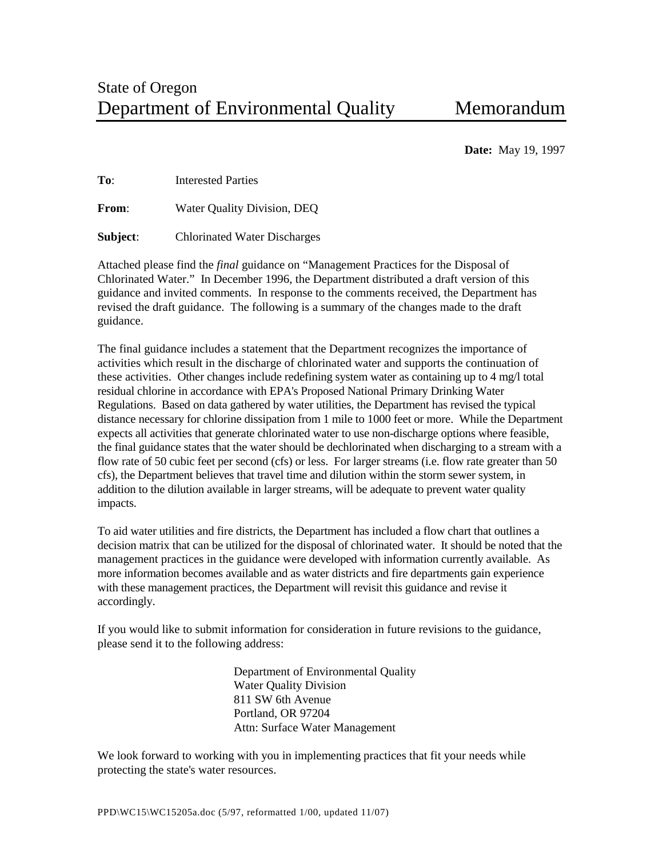**Date:** May 19, 1997

**To**: Interested Parties

**From:** Water Quality Division, DEQ

**Subject**: Chlorinated Water Discharges

Attached please find the *final* guidance on "Management Practices for the Disposal of Chlorinated Water." In December 1996, the Department distributed a draft version of this guidance and invited comments. In response to the comments received, the Department has revised the draft guidance. The following is a summary of the changes made to the draft guidance.

The final guidance includes a statement that the Department recognizes the importance of activities which result in the discharge of chlorinated water and supports the continuation of these activities. Other changes include redefining system water as containing up to 4 mg/l total residual chlorine in accordance with EPA's Proposed National Primary Drinking Water Regulations. Based on data gathered by water utilities, the Department has revised the typical distance necessary for chlorine dissipation from 1 mile to 1000 feet or more. While the Department expects all activities that generate chlorinated water to use non-discharge options where feasible, the final guidance states that the water should be dechlorinated when discharging to a stream with a flow rate of 50 cubic feet per second (cfs) or less. For larger streams (i.e. flow rate greater than 50 cfs), the Department believes that travel time and dilution within the storm sewer system, in addition to the dilution available in larger streams, will be adequate to prevent water quality impacts.

To aid water utilities and fire districts, the Department has included a flow chart that outlines a decision matrix that can be utilized for the disposal of chlorinated water. It should be noted that the management practices in the guidance were developed with information currently available. As more information becomes available and as water districts and fire departments gain experience with these management practices, the Department will revisit this guidance and revise it accordingly.

If you would like to submit information for consideration in future revisions to the guidance, please send it to the following address:

> Department of Environmental Quality Water Quality Division 811 SW 6th Avenue Portland, OR 97204 Attn: Surface Water Management

We look forward to working with you in implementing practices that fit your needs while protecting the state's water resources.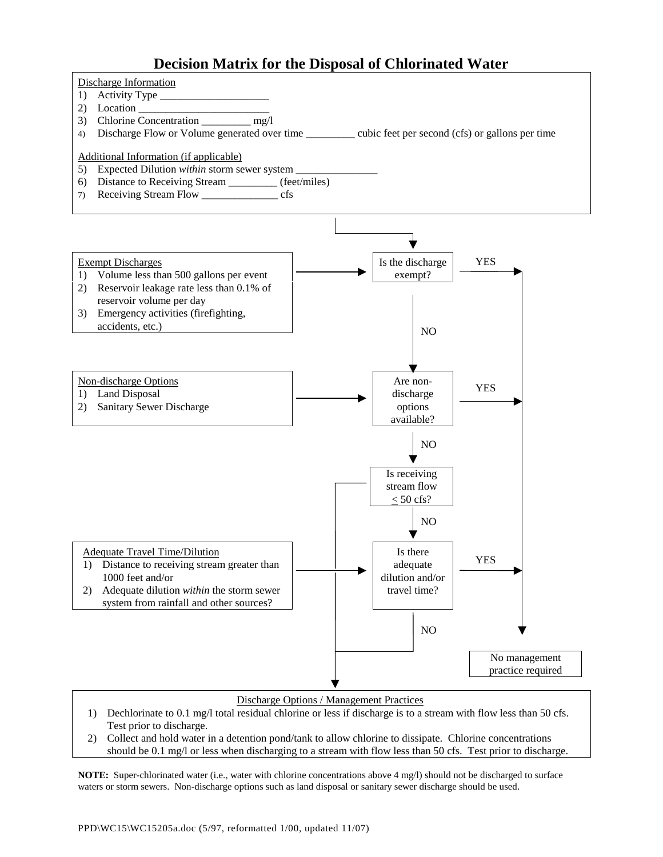# **Decision Matrix for the Disposal of Chlorinated Water**



#### Discharge Options / Management Practices

- 1) Dechlorinate to 0.1 mg/l total residual chlorine or less if discharge is to a stream with flow less than 50 cfs. Test prior to discharge.
- 2) Collect and hold water in a detention pond/tank to allow chlorine to dissipate. Chlorine concentrations should be 0.1 mg/l or less when discharging to a stream with flow less than 50 cfs. Test prior to discharge.

**NOTE:** Super-chlorinated water (i.e., water with chlorine concentrations above 4 mg/l) should not be discharged to surface waters or storm sewers. Non-discharge options such as land disposal or sanitary sewer discharge should be used.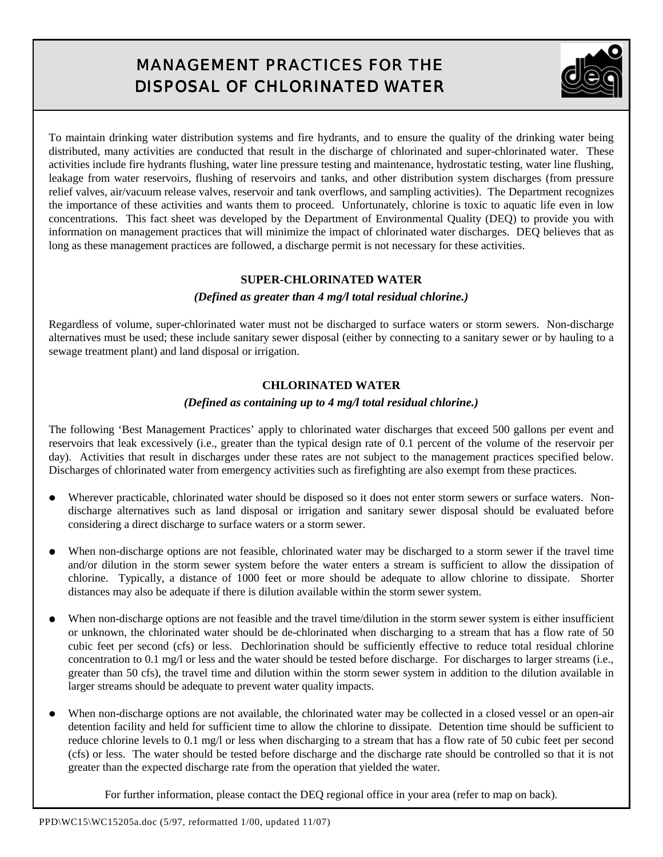# MANAGEMENT PRACTICES FOR THE DISPOSAL OF CHLORINATED WATER



To maintain drinking water distribution systems and fire hydrants, and to ensure the quality of the drinking water being distributed, many activities are conducted that result in the discharge of chlorinated and super-chlorinated water. These activities include fire hydrants flushing, water line pressure testing and maintenance, hydrostatic testing, water line flushing, leakage from water reservoirs, flushing of reservoirs and tanks, and other distribution system discharges (from pressure relief valves, air/vacuum release valves, reservoir and tank overflows, and sampling activities). The Department recognizes the importance of these activities and wants them to proceed. Unfortunately, chlorine is toxic to aquatic life even in low concentrations. This fact sheet was developed by the Department of Environmental Quality (DEQ) to provide you with information on management practices that will minimize the impact of chlorinated water discharges. DEQ believes that as long as these management practices are followed, a discharge permit is not necessary for these activities.

## **SUPER-CHLORINATED WATER**

### *(Defined as greater than 4 mg/l total residual chlorine.)*

Regardless of volume, super-chlorinated water must not be discharged to surface waters or storm sewers. Non-discharge alternatives must be used; these include sanitary sewer disposal (either by connecting to a sanitary sewer or by hauling to a sewage treatment plant) and land disposal or irrigation.

### **CHLORINATED WATER**

#### *(Defined as containing up to 4 mg/l total residual chlorine.)*

The following 'Best Management Practices' apply to chlorinated water discharges that exceed 500 gallons per event and reservoirs that leak excessively (i.e., greater than the typical design rate of 0.1 percent of the volume of the reservoir per day). Activities that result in discharges under these rates are not subject to the management practices specified below. Discharges of chlorinated water from emergency activities such as firefighting are also exempt from these practices.

- Wherever practicable, chlorinated water should be disposed so it does not enter storm sewers or surface waters. Nondischarge alternatives such as land disposal or irrigation and sanitary sewer disposal should be evaluated before considering a direct discharge to surface waters or a storm sewer.
- When non-discharge options are not feasible, chlorinated water may be discharged to a storm sewer if the travel time and/or dilution in the storm sewer system before the water enters a stream is sufficient to allow the dissipation of chlorine. Typically, a distance of 1000 feet or more should be adequate to allow chlorine to dissipate. Shorter distances may also be adequate if there is dilution available within the storm sewer system.
- When non-discharge options are not feasible and the travel time/dilution in the storm sewer system is either insufficient or unknown, the chlorinated water should be de-chlorinated when discharging to a stream that has a flow rate of 50 cubic feet per second (cfs) or less. Dechlorination should be sufficiently effective to reduce total residual chlorine concentration to 0.1 mg/l or less and the water should be tested before discharge. For discharges to larger streams (i.e., greater than 50 cfs), the travel time and dilution within the storm sewer system in addition to the dilution available in larger streams should be adequate to prevent water quality impacts.
- When non-discharge options are not available, the chlorinated water may be collected in a closed vessel or an open-air detention facility and held for sufficient time to allow the chlorine to dissipate. Detention time should be sufficient to reduce chlorine levels to 0.1 mg/l or less when discharging to a stream that has a flow rate of 50 cubic feet per second (cfs) or less. The water should be tested before discharge and the discharge rate should be controlled so that it is not greater than the expected discharge rate from the operation that yielded the water.

For further information, please contact the DEQ regional office in your area (refer to map on back).